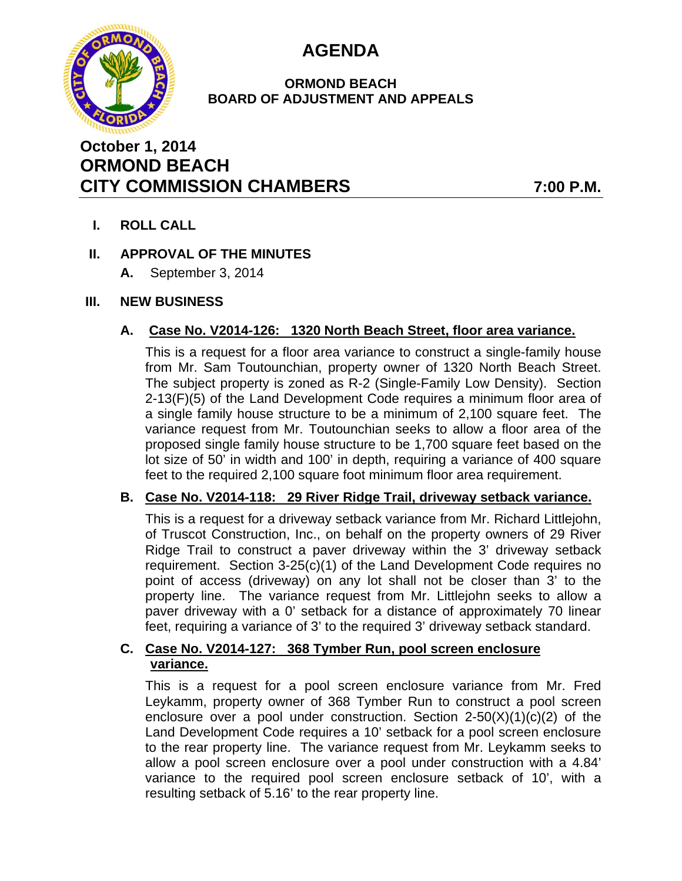



## **ORMOND BEACH BOARD OF ADJUSTMENT AND APPEALS**

# **October 1, 2014 ORMOND BEACH CITY COMMISSION CHAMBERS 7:00 P.M.**

**I. ROLL CALL** 

# **II. APPROVAL OF THE MINUTES**

**A.** September 3, 2014

# **III. NEW BUSINESS**

# **A. Case No. V2014-126: 1320 North Beach Street, floor area variance.**

This is a request for a floor area variance to construct a single-family house from Mr. Sam Toutounchian, property owner of 1320 North Beach Street. The subject property is zoned as R-2 (Single-Family Low Density). Section 2-13(F)(5) of the Land Development Code requires a minimum floor area of a single family house structure to be a minimum of 2,100 square feet. The variance request from Mr. Toutounchian seeks to allow a floor area of the proposed single family house structure to be 1,700 square feet based on the lot size of 50' in width and 100' in depth, requiring a variance of 400 square feet to the required 2,100 square foot minimum floor area requirement.

## **B. Case No. V2014-118: 29 River Ridge Trail, driveway setback variance.**

This is a request for a driveway setback variance from Mr. Richard Littlejohn, of Truscot Construction, Inc., on behalf on the property owners of 29 River Ridge Trail to construct a paver driveway within the 3' driveway setback requirement. Section 3-25(c)(1) of the Land Development Code requires no point of access (driveway) on any lot shall not be closer than 3' to the property line. The variance request from Mr. Littlejohn seeks to allow a paver driveway with a 0' setback for a distance of approximately 70 linear feet, requiring a variance of 3' to the required 3' driveway setback standard.

# **C. Case No. V2014-127: 368 Tymber Run, pool screen enclosure variance.**

This is a request for a pool screen enclosure variance from Mr. Fred Leykamm, property owner of 368 Tymber Run to construct a pool screen enclosure over a pool under construction. Section  $2-50(X)(1)(c)(2)$  of the Land Development Code requires a 10' setback for a pool screen enclosure to the rear property line. The variance request from Mr. Leykamm seeks to allow a pool screen enclosure over a pool under construction with a 4.84' variance to the required pool screen enclosure setback of 10', with a resulting setback of 5.16' to the rear property line.